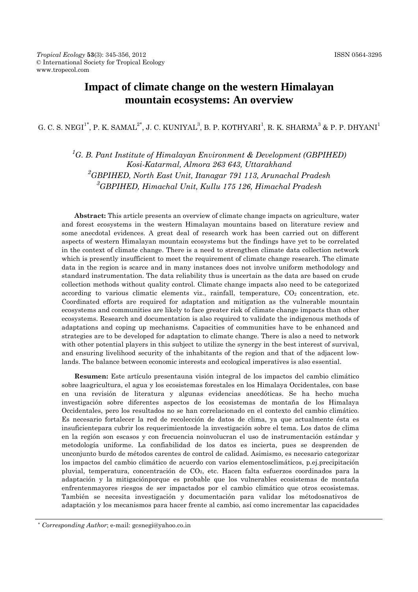# **Impact of climate change on the western Himalayan mountain ecosystems: An overview**

G. C. S. NEGI $^{1^*}$ , P. K. SAMAL $^{2^*}$ , J. C. KUNIYAL $^3$ , B. P. KOTHYARI $^1$ , R. K. SHARMA $^3$  & P. P. DHYANI $^1$ 

<sup>1</sup>G. B. Pant Institute of Himalayan Environment & Development (GBPIHED) *Kosi-Katarmal, Almora 263 643, Uttarakhand 2 GBPIHED, North East Unit, Itanagar 791 113, Arunachal Pradesh 3 GBPIHED, Himachal Unit, Kullu 175 126, Himachal Pradesh*

**Abstract:** This article presents an overview of climate change impacts on agriculture, water and forest ecosystems in the western Himalayan mountains based on literature review and some anecdotal evidences. A great deal of research work has been carried out on different aspects of western Himalayan mountain ecosystems but the findings have yet to be correlated in the context of climate change. There is a need to strengthen climate data collection network which is presently insufficient to meet the requirement of climate change research. The climate data in the region is scarce and in many instances does not involve uniform methodology and standard instrumentation. The data reliability thus is uncertain as the data are based on crude collection methods without quality control. Climate change impacts also need to be categorized according to various climatic elements viz., rainfall, temperature,  $CO<sub>2</sub>$  concentration, etc. Coordinated efforts are required for adaptation and mitigation as the vulnerable mountain ecosystems and communities are likely to face greater risk of climate change impacts than other ecosystems. Research and documentation is also required to validate the indigenous methods of adaptations and coping up mechanisms. Capacities of communities have to be enhanced and strategies are to be developed for adaptation to climate change. There is also a need to network with other potential players in this subject to utilize the synergy in the best interest of survival, and ensuring livelihood security of the inhabitants of the region and that of the adjacent lowlands. The balance between economic interests and ecological imperatives is also essential.

**Resumen:** Este artículo presentauna visión integral de los impactos del cambio climático sobre laagricultura, el agua y los ecosistemas forestales en los Himalaya Occidentales, con base en una revisión de literatura y algunas evidencias anecdóticas. Se ha hecho mucha investigación sobre diferentes aspectos de los ecosistemas de montaña de los Himalaya Occidentales, pero los resultados no se han correlacionado en el contexto del cambio climático. Es necesario fortalecer la red de recolección de datos de clima, ya que actualmente ésta es insuficientepara cubrir los requerimientosde la investigación sobre el tema. Los datos de clima en la región son escasos y con frecuencia noinvolucran el uso de instrumentación estándar y metodología uniforme. La confiabilidad de los datos es incierta, pues se desprenden de unconjunto burdo de métodos carentes de control de calidad. Asimismo, es necesario categorizar los impactos del cambio climático de acuerdo con varios elementosclimáticos, p.ej.precipitación pluvial, temperatura, concentración de CO2, etc. Hacen falta esfuerzos coordinados para la adaptación y la mitigaciónporque es probable que los vulnerables ecosistemas de montaña enfrentenmayores riesgos de ser impactados por el cambio climático que otros ecosistemas. También se necesita investigación y documentación para validar los métodosnativos de adaptación y los mecanismos para hacer frente al cambio, así como incrementar las capacidades

*<sup>\*</sup> Corresponding Author*; e-mail: gcsnegi@yahoo.co.in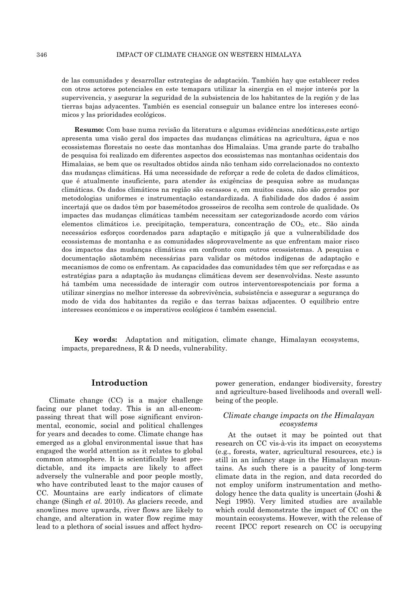de las comunidades y desarrollar estrategias de adaptación. También hay que establecer redes con otros actores potenciales en este temapara utilizar la sinergia en el mejor interés por la supervivencia, y asegurar la seguridad de la subsistencia de los habitantes de la región y de las tierras bajas adyacentes. También es esencial conseguir un balance entre los intereses económicos y las prioridades ecológicos.

**Resumo:** Com base numa revisão da literatura e algumas evidências anedóticas,este artigo apresenta uma visão geral dos impactes das mudanças climáticas na agricultura, água e nos ecossistemas florestais no oeste das montanhas dos Himalaias. Uma grande parte do trabalho de pesquisa foi realizado em diferentes aspectos dos ecossistemas nas montanhas ocidentais dos Himalaias, se bem que os resultados obtidos ainda não tenham sido correlacionados no contexto das mudanças climáticas. Há uma necessidade de reforçar a rede de coleta de dados climáticos, que é atualmente insuficiente, para atender às exigências de pesquisa sobre as mudanças climáticas. Os dados climáticos na região são escassos e, em muitos casos, não são gerados por metodologias uniformes e instrumentação estandardizada. A fiabilidade dos dados é assim incertajá que os dados têm por basemétodos grosseiros de recolha sem controle de qualidade. Os impactes das mudanças climáticas também necessitam ser categorizadosde acordo com vários elementos climáticos i.e. precipitação, temperatura, concentração de CO2, etc.. São ainda necessários esforços coordenados para adaptação e mitigação já que a vulnerabilidade dos ecossistemas de montanha e as comunidades sãoprovavelmente as que enfrentam maior risco dos impactos das mudanças climáticas em confronto com outros ecossistemas. A pesquisa e documentação sãotambém necessárias para validar os métodos indígenas de adaptação e mecanismos de como os enfrentam. As capacidades das comunidades têm que ser reforçadas e as estratégias para a adaptação às mudanças climáticas devem ser desenvolvidas. Neste assunto há também uma necessidade de interagir com outros interventorespotenciais por forma a utilizar sinergias no melhor interesse da sobrevivência, subsistência e assegurar a segurança do modo de vida dos habitantes da região e das terras baixas adjacentes. O equilíbrio entre interesses económicos e os imperativos ecológicos é também essencial.

**Key words:** Adaptation and mitigation, climate change, Himalayan ecosystems, impacts, preparedness, R & D needs, vulnerability.

## **Introduction**

Climate change (CC) is a major challenge facing our planet today. This is an all-encompassing threat that will pose significant environmental, economic, social and political challenges for years and decades to come. Climate change has emerged as a global environmental issue that has engaged the world attention as it relates to global common atmosphere. It is scientifically least predictable, and its impacts are likely to affect adversely the vulnerable and poor people mostly, who have contributed least to the major causes of CC. Mountains are early indicators of climate change (Singh *et al*. 2010). As glaciers recede, and snowlines move upwards, river flows are likely to change, and alteration in water flow regime may lead to a plethora of social issues and affect hydropower generation, endanger biodiversity, forestry and agriculture-based livelihoods and overall wellbeing of the people.

#### *Climate change impacts on the Himalayan ecosystems*

At the outset it may be pointed out that research on CC vis-à-vis its impact on ecosystems (e.g., forests, water, agricultural resources, etc.) is still in an infancy stage in the Himalayan mountains. As such there is a paucity of long-term climate data in the region, and data recorded do not employ uniform instrumentation and methodology hence the data quality is uncertain (Joshi & Negi 1995). Very limited studies are available which could demonstrate the impact of CC on the mountain ecosystems. However, with the release of recent IPCC report research on CC is occupying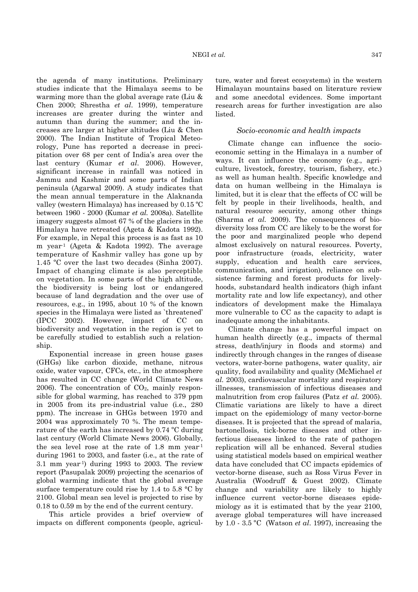the agenda of many institutions. Preliminary studies indicate that the Himalaya seems to be warming more than the global average rate (Liu & Chen 2000; Shrestha *et al*. 1999), temperature increases are greater during the winter and autumn than during the summer; and the increases are larger at higher altitudes (Liu & Chen 2000). The Indian Institute of Tropical Meteorology, Pune has reported a decrease in precipitation over 68 per cent of India's area over the last century (Kumar *et al*. 2006). However, significant increase in rainfall was noticed in Jammu and Kashmir and some parts of Indian peninsula (Agarwal 2009). A study indicates that the mean annual temperature in the Alaknanda valley (western Himalaya) has increased by 0.15 ºC between 1960 - 2000 (Kumar *et al.* 2008a). Satellite imagery suggests almost 67 % of the glaciers in the Himalaya have retreated (Ageta & Kadota 1992). For example, in Nepal this process is as fast as 10 m year-1 (Ageta & Kadota 1992). The average temperature of Kashmir valley has gone up by 1.45 ºC over the last two decades (Sinha 2007). Impact of changing climate is also perceptible on vegetation. In some parts of the high altitude, the biodiversity is being lost or endangered because of land degradation and the over use of resources, e.g., in 1995, about 10 % of the known species in the Himalaya were listed as `threatened' (IPCC 2002). However, impact of CC on biodiversity and vegetation in the region is yet to be carefully studied to establish such a relationship.

Exponential increase in green house gases (GHGs) like carbon dioxide, methane, nitrous oxide, water vapour, CFCs, etc., in the atmosphere has resulted in CC change (World Climate News 2006). The concentration of  $CO<sub>2</sub>$ , mainly responsible for global warming, has reached to 379 ppm in 2005 from its pre-industrial value (i.e., 280 ppm). The increase in GHGs between 1970 and 2004 was approximately 70 %. The mean temperature of the earth has increased by 0.74 ºC during last century (World Climate News 2006). Globally, the sea level rose at the rate of 1.8 mm year-1 during 1961 to 2003, and faster (i.e., at the rate of 3.1 mm year-1) during 1993 to 2003. The review report (Pasupalak 2009) projecting the scenarios of global warming indicate that the global average surface temperature could rise by 1.4 to 5.8 °C by 2100. Global mean sea level is projected to rise by 0.18 to 0.59 m by the end of the current century.

This article provides a brief overview of impacts on different components (people, agriculture, water and forest ecosystems) in the western Himalayan mountains based on literature review and some anecdotal evidences. Some important research areas for further investigation are also listed.

### *Socio-economic and health impacts*

Climate change can influence the socioeconomic setting in the Himalaya in a number of ways. It can influence the economy (e.g., agriculture, livestock, forestry, tourism, fishery, etc.) as well as human health. Specific knowledge and data on human wellbeing in the Himalaya is limited, but it is clear that the effects of CC will be felt by people in their livelihoods, health, and natural resource security, among other things (Sharma *et al.* 2009). The consequences of biodiversity loss from CC are likely to be the worst for the poor and marginalized people who depend almost exclusively on natural resources. Poverty, poor infrastructure (roads, electricity, water supply, education and health care services, communication, and irrigation), reliance on subsistence farming and forest products for livelyhoods, substandard health indicators (high infant mortality rate and low life expectancy), and other indicators of development make the Himalaya more vulnerable to CC as the capacity to adapt is inadequate among the inhabitants.

Climate change has a powerful impact on human health directly (e.g., impacts of thermal stress, death/injury in floods and storms) and indirectly through changes in the ranges of disease vectors, water-borne pathogens, water quality, air quality, food availability and quality (McMichael *et al.* 2003), cardiovascular mortality and respiratory illnesses, transmission of infectious diseases and malnutrition from crop failures (Patz *et al.* 2005). Climatic variations are likely to have a direct impact on the epidemiology of many vector-borne diseases. It is projected that the spread of malaria, bartonellosis, tick-borne diseases and other infectious diseases linked to the rate of pathogen replication will all be enhanced. Several studies using statistical models based on empirical weather data have concluded that CC impacts epidemics of vector-borne disease, such as Ross Virus Fever in Australia (Woodruff & Guest 2002). Climate change and variability are likely to highly influence current vector-borne diseases epidemiology as it is estimated that by the year 2100, average global temperatures will have increased by 1.0 - 3.5 ºC (Watson *et al*. 1997), increasing the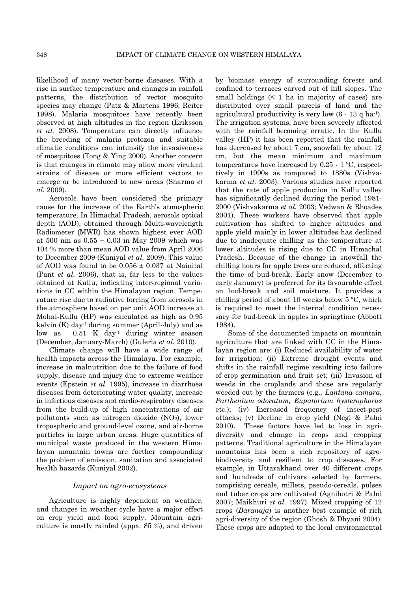likelihood of many vector-borne diseases. With a rise in surface temperature and changes in rainfall patterns, the distribution of vector mosquito species may change (Patz & Martens 1996; Reiter 1998). Malaria mosquitoes have recently been observed at high altitudes in the region (Eriksson *et al.* 2008). Temperature can directly influence the breeding of malaria protozoa and suitable climatic conditions can intensify the invasiveness of mosquitoes (Tong & Ying 2000). Another concern is that changes in climate may allow more virulent strains of disease or more efficient vectors to emerge or be introduced to new areas (Sharma *et al.* 2009).

Aerosols have been considered the primary cause for the increase of the Earth's atmospheric temperature. In Himachal Pradesh, aerosols optical depth (AOD), obtained through Multi-wavelength Radiometer (MWR) has shown highest ever AOD at 500 nm as  $0.55 \pm 0.03$  in May 2009 which was 104 % more than mean AOD value from April 2006 to December 2009 (Kuniyal *et al.* 2009). This value of AOD was found to be  $0.056 \pm 0.037$  at Nainital (Pant *et al.* 2006), that is, far less to the values obtained at Kullu, indicating inter-regional variations in CC within the Himalayan region. Temperature rise due to radiative forcing from aerosols in the atmosphere based on per unit AOD increase at Mohal-Kullu (HP) was calculated as high as 0.95 kelvin  $(K)$  day<sup>-1</sup> during summer (April-July) and as low as 0.51 K day-1 during winter season (December, January-March) (Guleria *et al.* 2010).

Climate change will have a wide range of health impacts across the Himalaya. For example, increase in malnutrition due to the failure of food supply, disease and injury due to extreme weather events (Epstein *et al.* 1995), increase in diarrhoea diseases from deteriorating water quality, increase in infectious diseases and cardio-respiratory diseases from the build-up of high concentrations of air pollutants such as nitrogen dioxide  $(NO<sub>2</sub>)$ , lower tropospheric and ground-level ozone, and air-borne particles in large urban areas. Huge quantities of municipal waste produced in the western Himalayan mountain towns are further compounding the problem of emission, sanitation and associated health hazards (Kuniyal 2002).

#### *Impact on agro-ecosystems*

Agriculture is highly dependent on weather, and changes in weather cycle have a major effect on crop yield and food supply. Mountain agriculture is mostly rainfed (appx. 85 %), and driven

by biomass energy of surrounding forests and confined to terraces carved out of hill slopes. The small holdings  $(1)$  ha in majority of cases) are distributed over small parcels of land and the agricultural productivity is very low  $(6 - 13 \text{ q ha}^{-1})$ . The irrigation systems, have been severely affected with the rainfall becoming erratic. In the Kullu valley (HP) it has been reported that the rainfall has decreased by about 7 cm, snowfall by about 12 cm, but the mean minimum and maximum temperatures have increased by 0.25 - 1 ºC, respecttively in 1990s as compared to 1880s (Vishvakarma *et al.* 2003). Various studies have reported that the rate of apple production in Kullu valley has significantly declined during the period 1981- 2000 (Vishvakarma *et al.* 2003; Vedwan & Rhoades 2001). These workers have observed that apple cultivation has shifted to higher altitudes and apple yield mainly in lower altitudes has declined due to inadequate chilling as the temperature at lower altitudes is rising due to CC in Himachal Pradesh. Because of the change in snowfall the chilling hours for apple trees are reduced, affecting the time of bud-break. Early snow (December to early January) is preferred for its favourable effect on bud-break and soil moisture. It provides a chilling period of about 10 weeks below 5 ºC, which is required to meet the internal condition necessary for bud-break in apples in springtime (Abbott 1984).

Some of the documented impacts on mountain agriculture that are linked with CC in the Himalayan region are: (i) Reduced availability of water for irrigation; (ii) Extreme drought events and shifts in the rainfall regime resulting into failure of crop germination and fruit set; (iii) Invasion of weeds in the croplands and those are regularly weeded out by the farmers (e.g., *Lantana camara, Parthenium odoratum, Eupatorium hysterophorus*  etc.); (iv) Increased frequency of insect-pest attacks; (v) Decline in crop yield (Negi & Palni 2010). These factors have led to loss in agridiversity and change in crops and cropping patterns. Traditional agriculture in the Himalayan mountains has been a rich repository of agrobiodiversity and resilient to crop diseases. For example, in Uttarakhand over 40 different crops and hundreds of cultivars selected by farmers, comprising cereals, millets, pseudo-cereals, pulses and tuber crops are cultivated (Agnihotri & Palni 2007; Maikhuri *et al.* 1997). Mixed cropping of 12 crops (*Baranaja*) is another best example of rich agri-diversity of the region (Ghosh & Dhyani 2004). These crops are adapted to the local environmental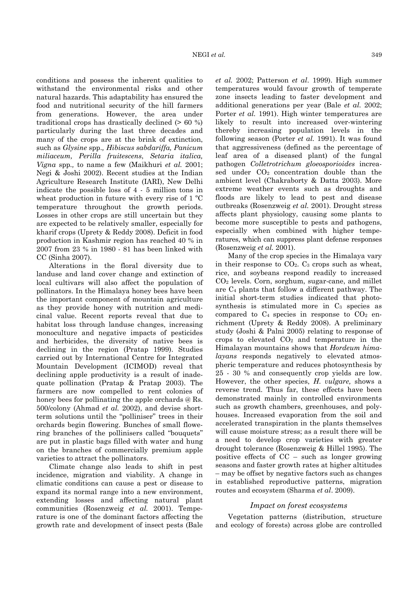conditions and possess the inherent qualities to withstand the environmental risks and other natural hazards. This adaptability has ensured the food and nutritional security of the hill farmers from generations. However, the area under traditional crops has drastically declined  $(> 60\%)$ particularly during the last three decades and many of the crops are at the brink of extinction, such as *Glysine* spp.*, Hibiscus sabdariffa, Panicum miliaceum, Perilla fruitescens*, *Setaria italica, Vigna* spp*.,* to name a few (Maikhuri *et al.* 2001; Negi & Joshi 2002). Recent studies at the Indian Agriculture Research Institute (IARI), New Delhi indicate the possible loss of 4 - 5 million tons in wheat production in future with every rise of 1 ºC temperature throughout the growth periods. Losses in other crops are still uncertain but they are expected to be relatively smaller, especially for kharif crops (Uprety & Reddy 2008). Deficit in food production in Kashmir region has reached 40 % in 2007 from 23 % in 1980 - 81 has been linked with CC (Sinha 2007).

Alterations in the floral diversity due to landuse and land cover change and extinction of local cultivars will also affect the population of pollinators. In the Himalaya honey bees have been the important component of mountain agriculture as they provide honey with nutrition and medicinal value. Recent reports reveal that due to habitat loss through landuse changes, increasing monoculture and negative impacts of pesticides and herbicides, the diversity of native bees is declining in the region (Pratap 1999). Studies carried out by International Centre for Integrated Mountain Development (ICIMOD) reveal that declining apple productivity is a result of inadequate pollination (Pratap & Pratap 2003). The farmers are now compelled to rent colonies of honey bees for pollinating the apple orchards @ Rs. 500/colony (Ahmad *et al.* 2002), and devise shortterm solutions until the "polliniser" trees in their orchards begin flowering. Bunches of small flowering branches of the pollinisers called "bouquets" are put in plastic bags filled with water and hung on the branches of commercially premium apple varieties to attract the pollinators.

Climate change also leads to shift in pest incidence, migration and viability. A change in climatic conditions can cause a pest or disease to expand its normal range into a new environment, extending losses and affecting natural plant communities (Rosenzweig *et al.* 2001). Temperature is one of the dominant factors affecting the growth rate and development of insect pests (Bale *et al.* 2002; Patterson *et al*. 1999). High summer temperatures would favour growth of temperate zone insects leading to faster development and additional generations per year (Bale *et al.* 2002; Porter *et al.* 1991). High winter temperatures are likely to result into increased over-wintering thereby increasing population levels in the following season (Porter *et al.* 1991). It was found that aggressiveness (defined as the percentage of leaf area of a diseased plant) of the fungal pathogen *Colletrotrichum gloeosporioides* increased under CO2 concentration double than the ambient level (Chakraborty & Datta 2003). More extreme weather events such as droughts and floods are likely to lead to pest and disease outbreaks (Rosenzweig *et al.* 2001). Drought stress affects plant physiology, causing some plants to become more susceptible to pests and pathogens, especially when combined with higher temperatures, which can suppress plant defense responses (Rosenzweig *et al.* 2001).

Many of the crop species in the Himalaya vary in their response to  $CO<sub>2</sub>$ .  $C<sub>3</sub>$  crops such as wheat, rice, and soybeans respond readily to increased CO2 levels. Corn, sorghum, sugar-cane, and millet are C4 plants that follow a different pathway. The initial short-term studies indicated that photosynthesis is stimulated more in  $C_3$  species as compared to  $C_4$  species in response to  $CO_2$  enrichment (Uprety & Reddy 2008). A preliminary study (Joshi & Palni 2005) relating to response of crops to elevated  $CO<sub>2</sub>$  and temperature in the Himalayan mountains shows that *Hordeum himalayans* responds negatively to elevated atmospheric temperature and reduces photosynthesis by 25 - 30 % and consequently crop yields are low. However, the other species, *H. vulgare,* shows a reverse trend. Thus far, these effects have been demonstrated mainly in controlled environments such as growth chambers, greenhouses, and polyhouses. Increased evaporation from the soil and accelerated transpiration in the plants themselves will cause moisture stress; as a result there will be a need to develop crop varieties with greater drought tolerance (Rosenzweig & Hillel 1995). The positive effects of CC – such as longer growing seasons and faster growth rates at higher altitudes – may be offset by negative factors such as changes in established reproductive patterns, migration routes and ecosystem (Sharma *et al*. 2009).

#### *Impact on forest ecosystems*

Vegetation patterns (distribution, structure and ecology of forests) across globe are controlled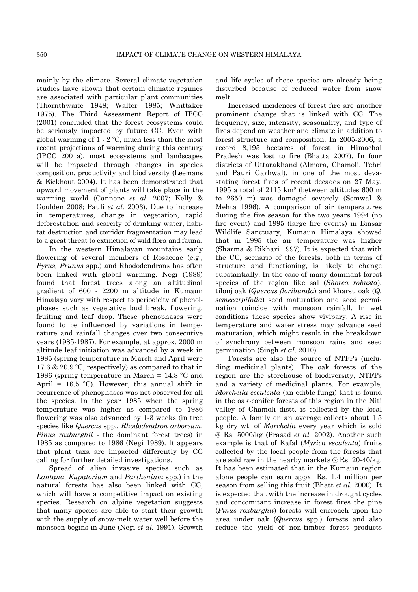mainly by the climate. Several climate-vegetation studies have shown that certain climatic regimes are associated with particular plant communities (Thornthwaite 1948; Walter 1985; Whittaker 1975). The Third Assessment Report of IPCC (2001) concluded that the forest ecosystems could be seriously impacted by future CC. Even with global warming of 1 - 2 ºC, much less than the most recent projections of warming during this century (IPCC 2001a), most ecosystems and landscapes will be impacted through changes in species composition, productivity and biodiversity (Leemans & Eickhout 2004). It has been demonstrated that upward movement of plants will take place in the warming world (Cannone *et al.* 2007; Kelly & Goulden 2008; Pauli *et al.* 2003). Due to increase in temperatures, change in vegetation, rapid deforestation and scarcity of drinking water, habitat destruction and corridor fragmentation may lead to a great threat to extinction of wild flora and fauna.

In the western Himalayan mountains early flowering of several members of Rosaceae (e.g., *Pyrus, Prunus* spp.) and Rhododendrons has often been linked with global warming. Negi (1989) found that forest trees along an altitudinal gradient of 600 - 2200 m altitude in Kumaun Himalaya vary with respect to periodicity of phenolphases such as vegetative bud break, flowering, fruiting and leaf drop. These phenophases were found to be influenced by variations in temperature and rainfall changes over two consecutive years (1985-1987). For example, at approx. 2000 m altitude leaf initiation was advanced by a week in 1985 (spring temperature in March and April were 17.6 & 20.9 ºC, respectively) as compared to that in 1986 (spring temperature in March = 14.8 ºC and April =  $16.5$  °C). However, this annual shift in occurrence of phenophases was not observed for all the species. In the year 1985 when the spring temperature was higher as compared to 1986 flowering was also advanced by 1-3 weeks (in tree species like *Quercus* spp., *Rhododendron arboreum, Pinus roxburghii* - the dominant forest trees) in 1985 as compared to 1986 (Negi 1989). It appears that plant taxa are impacted differently by CC calling for further detailed investigations.

Spread of alien invasive species such as *Lantana, Eupatorium* and *Parthenium* spp.) in the natural forests has also been linked with CC, which will have a competitive impact on existing species. Research on alpine vegetation suggests that many species are able to start their growth with the supply of snow-melt water well before the monsoon begins in June (Negi *et al.* 1991). Growth

and life cycles of these species are already being disturbed because of reduced water from snow melt.

Increased incidences of forest fire are another prominent change that is linked with CC. The frequency, size, intensity, seasonality, and type of fires depend on weather and climate in addition to forest structure and composition. In 2005-2006, a record 8,195 hectares of forest in Himachal Pradesh was lost to fire (Bhatta 2007). In four districts of Uttarakhand (Almora, Chamoli, Tehri and Pauri Garhwal), in one of the most devastating forest fires of recent decades on 27 May, 1995 a total of 2115 km2 (between altitudes 600 m to 2650 m) was damaged severely (Semwal & Mehta 1996). A comparison of air temperatures during the fire season for the two years 1994 (no fire event) and 1995 (large fire events) in Binsar Wildlife Sanctuary, Kumaun Himalaya showed that in 1995 the air temperature was higher (Sharma & Rikhari 1997). It is expected that with the CC, scenario of the forests, both in terms of structure and functioning, is likely to change substantially. In the case of many dominant forest species of the region like sal (*Shorea robusta*), tilonj oak (*Quercus floribunda*) and kharsu oak (*Q. semecarpifolia*) seed maturation and seed germination coincide with monsoon rainfall. In wet conditions these species show vivipary. A rise in temperature and water stress may advance seed maturation, which might result in the breakdown of synchrony between monsoon rains and seed germination (Singh *et al*. 2010).

Forests are also the source of NTFPs (including medicinal plants). The oak forests of the region are the storehouse of biodiversity, NTFPs and a variety of medicinal plants. For example, *Morchella esculenta* (an edible fungi) that is found in the oak-conifer forests of this region in the Niti valley of Chamoli distt. is collected by the local people. A family on an average collects about 1.5 kg dry wt. of *Morchella* every year which is sold @ Rs. 5000/kg (Prasad *et al.* 2002). Another such example is that of Kafal (*Myrica esculenta*) fruits collected by the local people from the forests that are sold raw in the nearby markets @ Rs. 20-40/kg. It has been estimated that in the Kumaun region alone people can earn appx. Rs. 1.4 million per season from selling this fruit (Bhatt *et al.* 2000). It is expected that with the increase in drought cycles and concomitant increase in forest fires the pine (*Pinus roxburghii*) forests will encroach upon the area under oak (*Quercus* spp.) forests and also reduce the yield of non-timber forest products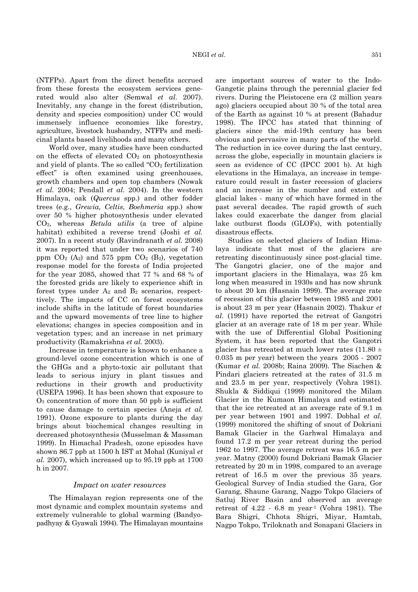(NTFPs). Apart from the direct benefits accrued from these forests the ecosystem services generated would also alter (Semwal *et al.* 2007). Inevitably, any change in the forest (distribution, density and species composition) under CC would immensely influence economies like forestry, agriculture, livestock husbandry, NTFPs and medicinal plants based livelihoods and many others.

World over, many studies have been conducted on the effects of elevated  $CO<sub>2</sub>$  on photosynthesis and yield of plants. The so called "CO2 fertilization effect" is often examined using greenhouses, growth chambers and open top chambers (Nowak *et al.* 2004; Pendall *et al.* 2004). In the western Himalaya, oak (*Quercus* spp.) and other fodder trees (e.g., *Grewia, Celtis, Boehmeria* spp.) show over 50 % higher photosynthesis under elevated CO2, whereas *Betula utilis* (a tree of alpine habitat) exhibited a reverse trend (Joshi *et al.* 2007). In a recent study (Ravindranath *et al.* 2008) it was reported that under two scenarios of 740 ppm  $CO<sub>2</sub>$  (A<sub>2</sub>) and 575 ppm  $CO<sub>2</sub>$  (B<sub>2</sub>), vegetation response model for the forests of India projected for the year 2085, showed that 77 % and 68 % of the forested grids are likely to experience shift in forest types under  $A_2$  and  $B_2$  scenarios, respecttively. The impacts of CC on forest ecosystems include shifts in the latitude of forest boundaries and the upward movements of tree line to higher elevations; changes in species composition and in vegetation types; and an increase in net primary productivity (Ramakrishna *et al.* 2003).

Increase in temperature is known to enhance a ground-level ozone concentration which is one of the GHGs and a phyto-toxic air pollutant that leads to serious injury in plant tissues and reductions in their growth and productivity (USEPA 1996). It has been shown that exposure to  $O<sub>3</sub>$  concentration of more than 50 ppb is sufficient to cause damage to certain species (Aneja *et al.* 1991). Ozone exposure to plants during the day brings about biochemical changes resulting in decreased photosynthesis (Musselman & Massman 1999). In Himachal Pradesh, ozone episodes have shown 86.7 ppb at 1500 h IST at Mohal (Kuniyal *et al.* 2007), which increased up to 95.19 ppb at 1700 h in 2007.

#### *Impact on water resources*

The Himalayan region represents one of the most dynamic and complex mountain systems and extremely vulnerable to global warming (Bandyopadhyay & Gyawali 1994). The Himalayan mountains

are important sources of water to the Indo-Gangetic plains through the perennial glacier fed rivers. During the Pleistocene era (2 million years ago) glaciers occupied about 30 % of the total area of the Earth as against 10 % at present (Bahadur 1998). The IPCC has stated that thinning of glaciers since the mid-19th century has been obvious and pervasive in many parts of the world. The reduction in ice cover during the last century, across the globe, especially in mountain glaciers is seen as evidence of CC (IPCC 2001 b). At high elevations in the Himalaya, an increase in temperature could result in faster recession of glaciers and an increase in the number and extent of glacial lakes - many of which have formed in the past several decades. The rapid growth of such lakes could exacerbate the danger from glacial lake outburst floods (GLOFs), with potentially disastrous effects.

Studies on selected glaciers of Indian Himalaya indicate that most of the glaciers are retreating discontinuously since post-glacial time. The Gangotri glacier, one of the major and important glaciers in the Himalaya, was 25 km long when measured in 1930s and has now shrunk to about 20 km (Hasnain 1999). The average rate of recession of this glacier between 1985 and 2001 is about 23 m per year (Hasnain 2002). Thakur *et al.* (1991) have reported the retreat of Gangotri glacier at an average rate of 18 m per year. While with the use of Differential Global Positioning System, it has been reported that the Gangotri glacier has retreated at much lower rates (11.80  $\pm$ 0.035 m per year) between the years 2005 - 2007 (Kumar *et al.* 2008b; Raina 2009). The Siachen & Pindari glaciers retreated at the rates of 31.5 m and 23.5 m per year, respectively (Vohra 1981). Shukla & Siddiqui (1999) monitored the Milam Glacier in the Kumaon Himalaya and estimated that the ice retreated at an average rate of 9.1 m per year between 1901 and 1997. Dobhal *et al*. (1999) monitored the shifting of snout of Dokriani Bamak Glacier in the Garhwal Himalaya and found 17.2 m per year retreat during the period 1962 to 1997. The average retreat was 16.5 m per year. Matny (2000) found Dokriani Bamak Glacier retreated by 20 m in 1998, compared to an average retreat of 16.5 m over the previous 35 years. Geological Survey of India studied the Gara, Gor Garang, Shaune Garang, Nagpo Tokpo Glaciers of Satluj River Basin and observed an average retreat of  $4.22 - 6.8$  m year<sup>1</sup> (Vohra 1981). The Bara Shigri, Chhota Shigri, Miyar, Hamtah, Nagpo Tokpo, Triloknath and Sonapani Glaciers in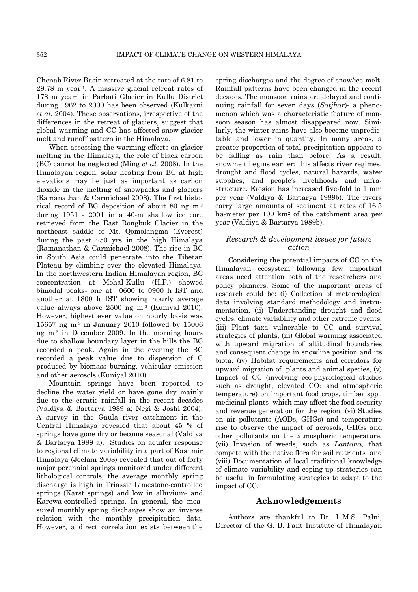Chenab River Basin retreated at the rate of 6.81 to  $29.78$  m year<sup>1</sup>. A massive glacial retreat rates of 178 m year-1 in Parbati Glacier in Kullu District during 1962 to 2000 has been observed (Kulkarni *et al.* 2004). These observations, irrespective of the differences in the retreat of glaciers, suggest that global warming and CC has affected snow-glacier melt and runoff pattern in the Himalaya.

When assessing the warming effects on glacier melting in the Himalaya, the role of black carbon (BC) cannot be neglected (Ming *et al.* 2008). In the Himalayan region, solar heating from BC at high elevations may be just as important as carbon dioxide in the melting of snowpacks and glaciers (Ramanathan & Carmichael 2008). The first historical record of BC deposition of about 80 ng m-3 during 1951 - 2001 in a 40-m shallow ice core retrieved from the East Rongbuk Glacier in the northeast saddle of Mt. Qomolangma (Everest) during the past ~50 yrs in the high Himalaya (Ramanathan & Carmichael 2008). The rise in BC in South Asia could penetrate into the Tibetan Plateau by climbing over the elevated Himalaya. In the northwestern Indian Himalayan region, BC concentration at Mohal-Kullu (H.P.) showed bimodal peaks- one at 0600 to 0900 h IST and another at 1800 h IST showing hourly average value always above 2500 ng m-3 (Kuniyal 2010). However, highest ever value on hourly basis was 15657 ng m $3$  in January 2010 followed by 15006 ng m-3 in December 2009. In the morning hours due to shallow boundary layer in the hills the BC recorded a peak. Again in the evening the BC recorded a peak value due to dispersion of C produced by biomass burning, vehicular emission and other aerosols (Kuniyal 2010).

Mountain springs have been reported to decline the water yield or have gone dry mainly due to the erratic rainfall in the recent decades (Valdiya & Bartarya 1989 a; Negi & Joshi 2004). A survey in the Gaula river catchment in the Central Himalaya revealed that about 45 % of springs have gone dry or become seasonal (Valdiya & Bartarya 1989 a). Studies on aquifer response to regional climate variability in a part of Kashmir Himalaya (Jeelani 2008) revealed that out of forty major perennial springs monitored under different lithological controls, the average monthly spring discharge is high in Triassic Limestone-controlled springs (Karst springs) and low in alluvium- and Karewa-controlled springs. In general, the measured monthly spring discharges show an inverse relation with the monthly precipitation data. However, a direct correlation exists between the

spring discharges and the degree of snow/ice melt. Rainfall patterns have been changed in the recent decades. The monsoon rains are delayed and continuing rainfall for seven days (*Satjhar*)- a phenomenon which was a characteristic feature of monsoon season has almost disappeared now. Similarly, the winter rains have also become unpredictable and lower in quantity. In many areas, a greater proportion of total precipitation appears to be falling as rain than before. As a result, snowmelt begins earlier; this affects river regimes, drought and flood cycles, natural hazards, water supplies, and people's livelihoods and infrastructure. Erosion has increased five-fold to 1 mm per year (Valdiya & Bartarya 1989b). The rivers carry large amounts of sediment at rates of 16.5 ha-meter per 100 km2 of the catchment area per year (Valdiya & Bartarya 1989b).

## *Research & development issues for future action*

Considering the potential impacts of CC on the Himalayan ecosystem following few important areas need attention both of the researchers and policy planners. Some of the important areas of research could be: (i) Collection of meteorological data involving standard methodology and instrumentation, (ii) Understanding drought and flood cycles, climate variability and other extreme events, (iii) Plant taxa vulnerable to CC and survival strategies of plants, (iii) Global warming associated with upward migration of altitudinal boundaries and consequent change in snowline position and its biota, (iv) Habitat requirements and corridors for upward migration of plants and animal species, (v) Impact of CC (involving eco-physiological studies such as drought, elevated  $CO<sub>2</sub>$  and atmospheric temperature) on important food crops, timber spp., medicinal plants which may affect the food security and revenue generation for the region, (vi) Studies on air pollutants (AODs, GHGs) and temperature rise to observe the impact of aerosols, GHGs and other pollutants on the atmospheric temperature, (vii) Invasion of weeds, such as *Lantana,* that compete with the native flora for soil nutrients and (viii) Documentation of local traditional knowledge of climate variability and coping-up strategies can be useful in formulating strategies to adapt to the impact of CC.

### **Acknowledgements**

Authors are thankful to Dr. L.M.S. Palni, Director of the G. B. Pant Institute of Himalayan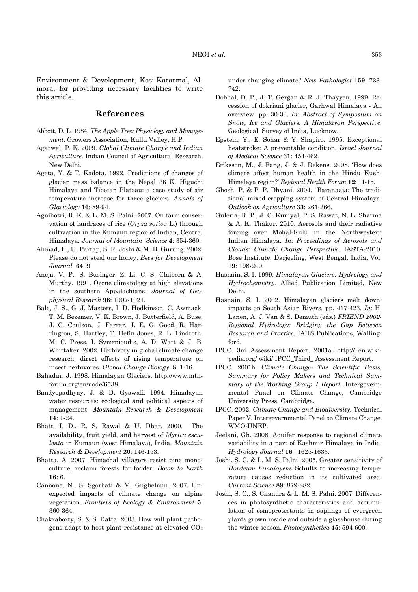Environment & Development, Kosi-Katarmal, Almora, for providing necessary facilities to write this article.

## **References**

- Abbott, D. L. 1984. *The Apple Tree: Physiology and Management*. Growers Association, Kullu Valley, H.P.
- Agarwal, P. K. 2009. *Global Climate Change and Indian Agriculture*. Indian Council of Agricultural Research, New Delhi.
- Ageta, Y. & T. Kadota. 1992. Predictions of changes of glacier mass balance in the Nepal 36 K. Higuchi Himalaya and Tibetan Plateau: a case study of air temperature increase for three glaciers. *Annals of Glaciology* **16**: 89-94.
- Agnihotri, R. K. & L. M. S. Palni. 2007. On farm conservation of landraces of rice (*Oryza sativa* L.) through cultivation in the Kumaun region of Indian, Central Himalaya. *Journal of Mountain Science* **4**: 354-360.
- Ahmad, F., U. Partap, S. R. Joshi & M. B. Gurung. 2002. Please do not steal our honey. *Bees for Development Journal* **64**: 9.
- Aneja, V. P., S. Businger, Z. Li, C. S. Claiborn & A. Murthy. 1991. Ozone climatology at high elevations in the southern Appalachians. *Journal of Geophysical Research* **96**: 1007-1021.
- Bale, J. S., G. J. Masters, I. D. Hodkinson, C. Awmack, T. M. Bezemer, V. K. Brown, J. Butterfield, A. Buse, J. C. Coulson, J. Farrar, J. E. G. Good, R. Harrington, S. Hartley, T. Hefin Jones, R. L. Lindroth, M. C. Press, I. Symrnioudis, A. D. Watt & J. B. Whittaker. 2002. Herbivory in global climate change research: direct effects of rising temperature on insect herbivores. *Global Change Biology* **8**: 1-16.
- Bahadur, J. 1998. Himalayan Glaciers. http://www.mtnforum.org/en/node/6538.
- Bandyopadhyay, J. & D. Gyawali. 1994. Himalayan water resources: ecological and political aspects of management. *Mountain Research & Development*  **14**: 1-24.
- Bhatt, I. D., R. S. Rawal & U. Dhar. 2000. The availability, fruit yield, and harvest of *Myrica esculenta* in Kumaun (west Himalaya), India. *Mountain Research & Development* **20**: 146-153.
- Bhatta, A. 2007. Himachal villagers resist pine monoculture, reclaim forests for fodder. *Down to Earth*  **16**: 6.
- Cannone, N., S. Sgorbati & M. Guglielmin. 2007. Unexpected impacts of climate change on alpine vegetation. *Frontiers of Ecology & Environment* **5**: 360-364.
- Chakraborty, S. & S. Datta. 2003. How will plant pathogens adapt to host plant resistance at elevated CO2

under changing climate? *New Pathologist* **159**: 733- 742.

- Dobhal, D. P., J. T. Gergan & R. J. Thayyen. 1999. Recession of dokriani glacier, Garhwal Himalaya - An overview. pp. 30-33. *In*: *Abstract of Symposium on Snow, Ice and Glaciers. A Himalayan Perspective*. Geological Survey of India*,* Lucknow.
- Epstein, Y., E. Sohar & Y. Shapiro. 1995. Exceptional heatstroke: A preventable condition. *Israel Journal of Medical Science* **31**: 454-462.
- Eriksson, M., J. Fang, J. & J. Dekens. 2008. 'How does climate affect human health in the Hindu Kush-Himalaya region?' *Regional Health Forum* **12**: 11-15.
- Ghosh, P. & P. P. Dhyani. 2004. Baranaaja*:* The traditional mixed cropping system of Central Himalaya. *Outlook on Agriculture* **33**: 261-266.
- Guleria, R. P., J. C. Kuniyal, P. S. Rawat, N. L. Sharma & A. K. Thakur. 2010. Aerosols and their radiative forcing over Mohal-Kulu in the Northwestern Indian Himalaya. *In*: *Proceedings of Aerosols and Clouds: Climate Change Perspective*. IASTA-2010, Bose Institute, Darjeeling, West Bengal, India, Vol. **19**: 198-200.
- Hasnain, S. I. 1999. *Himalayan Glaciers: Hydrology and Hydrochemistry.* Allied Publication Limited, New Delhi.
- Hasnain, S. I. 2002. Himalayan glaciers melt down: impacts on South Asian Rivers. pp. 417-423. *In*: H. Lanen, A. J. Van & S. Demuth (eds.) *FRIEND 2002*- *Regional Hydrology: Bridging the Gap Between Research and Practice*. IAHS Publications, Wallingford.
- IPCC. 3rd Assessment Report. 2001a. http:// en.wikipedia.org/ wiki/ IPCC\_Third\_ Assessment Report.
- IPCC. 2001b. *Climate Change- The Scientific Basis, Summary for Policy Makers and Technical Summary of the Working Group I Report.* Intergovernmental Panel on Climate Change, Cambridge University Press, Cambridge.
- IPCC. 2002. *Climate Change and Biodiversity.* Technical Paper V. Intergovernmental Panel on Climate Change. WMO-UNEP.
- Jeelani, Gh. 2008. Aquifer response to regional climate variability in a part of Kashmir Himalaya in India. *Hydrology Journal* **16** : 1625-1633.
- Joshi, S. C. & L. M. S. Palni. 2005. Greater sensitivity of *Hordeum himalayens* Schultz to increasing temperature causes reduction in its cultivated area. *Current Science* **89**: 879-882.
- Joshi, S. C., S. Chandra & L. M. S. Palni. 2007. Differences in photosynthetic characteristics and accumulation of osmoprotectants in saplings of evergreen plants grown inside and outside a glasshouse during the winter season. *Photosynthetica* **45**: 594-600.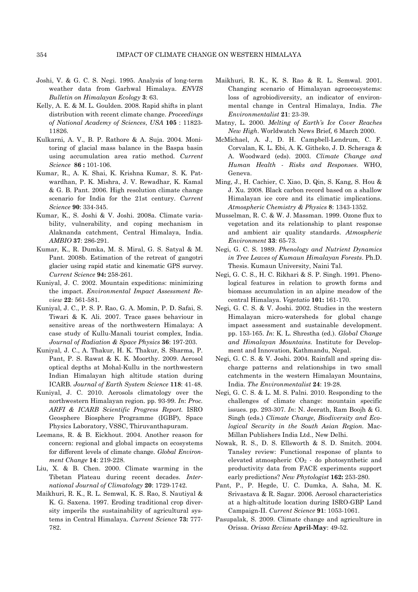- Joshi, V. & G. C. S. Negi. 1995. Analysis of long-term weather data from Garhwal Himalaya. *ENVIS Bulletin on Himalayan Ecology* **3**: 63.
- Kelly, A. E. & M. L. Goulden. 2008. Rapid shifts in plant distribution with recent climate change. *Proceedings of National Academy of Sciences*, *USA* **105** : 11823- 11826.
- Kulkarni, A. V., B. P. Rathore & A. Suja. 2004. Monitoring of glacial mass balance in the Baspa basin using accumulation area ratio method. *Current Science* **86 :** 101-106.
- Kumar, R., A. K. Shai, K. Krishna Kumar, S. K. Patwardhan, P. K. Mishra, J. V. Rewadhar, K. Kamal & G. B. Pant. 2006. High resolution climate change scenario for India for the 21st century. *Current Science* **90**: 334-345.
- Kumar, K., S. Joshi & V. Joshi. 2008a. Climate variability, vulnerability, and coping mechanism in Alaknanda catchment, Central Himalaya, India. *AMBIO* **37**: 286-291.
- Kumar, K., R. Dumka, M. S. Miral, G. S. Satyal & M. Pant. 2008b. Estimation of the retreat of gangotri glacier using rapid static and kinematic GPS survey. *Current Science* **94:** 258-261.
- Kuniyal, J. C. 2002. Mountain expeditions: minimizing the impact. *Environmental Impact Assessment Review* **22**: 561-581.
- Kuniyal, J. C., P. S. P. Rao, G. A. Momin, P. D. Safai, S. Tiwari & K. Ali. 2007. Trace gases behaviour in sensitive areas of the northwestern Himalaya: A case study of Kullu-Manali tourist complex, India. *Journal of Radiation & Space Physics* **36**: 197-203.
- Kuniyal, J. C., A. Thakur, H. K. Thakur, S. Sharma, P. Pant, P. S. Rawat & K. K. Moorthy. 2009. Aerosol optical depths at Mohal-Kullu in the northwestern Indian Himalayan high altitude station during ICARB. *Journal of Earth System Science* **118**: 41-48.
- Kuniyal, J. C. 2010. Aerosols climatology over the northwestern Himalayan region. pp. 93-99. *In*: *Proc. ARFI & ICARB Scientific Progress Report.* ISRO Geosphere Biosphere Programme (IGBP), Space Physics Laboratory, VSSC, Thiruvanthapuram.
- Leemans, R. & B. Eickhout. 2004. Another reason for concern: regional and global impacts on ecosystems for different levels of climate change. *Global Environment Change* **14**: 219-228.
- Liu, X. & B. Chen. 2000. Climate warming in the Tibetan Plateau during recent decades. *International Journal of Climatology* **20**: 1729-1742.
- Maikhuri, R. K., R. L. Semwal, K. S. Rao, S. Nautiyal & K. G. Saxena. 1997. Eroding traditional crop diversity imperils the sustainability of agricultural systems in Central Himalaya. *Current Science* **73:** 777- 782.
- Maikhuri, R. K., K. S. Rao & R. L. Semwal. 2001. Changing scenario of Himalayan agroecosystems: loss of agrobiodiversity, an indicator of environmental change in Central Himalaya, India. *The Environmentalist* **21**: 23-39.
- Matny, L. 2000. *Melting of Earth's Ice Cover Reaches New High*. Worldwatch News Brief*,* 6 March 2000.
- McMichael, A. J., D. H. Campbell-Lendrum, C. F. Corvalan, K. L. Ebi, A. K. Githeko, J. D. Scheraga & A. Woodward (eds). 2003. *Climate Change and Human Health - Risks and Responses.* WHO, Geneva.
- Ming, J., H. Cachier, C. Xiao, D. Qin, S. Kang, S. Hou & J. Xu. 2008. Black carbon record based on a shallow Himalayan ice core and its climatic implications. *Atmospheric Chemistry & Physics* **8**: 1343-1352.
- Musselman, R. C. & W. J. Massman. 1999. Ozone flux to vegetation and its relationship to plant response and ambient air quality standards. *Atmospheric Environment* **33**: 65-73.
- Negi, G. C. S. 1989. *Phenology and Nutrient Dynamics in Tree Leaves of Kumaun Himalayan Forests*. Ph.D. Thesis. Kumaun University, Naini Tal.
- Negi, G. C. S., H. C. Rikhari & S. P. Singh. 1991. Phenological features in relation to growth forms and biomass accumulation in an alpine meadow of the central Himalaya. *Vegetatio* **101:** 161-170.
- Negi, G. C. S. & V. Joshi. 2002. Studies in the western Himalayan micro-watersheds for global change impact assessment and sustainable development. pp. 153-165. *In*: K. L. Shrestha (ed.). *Global Change and Himalayan Mountains.* Institute for Development and Innovation, Kathmandu, Nepal.
- Negi, G. C. S. & V. Joshi. 2004. Rainfall and spring discharge patterns and relationships in two small catchments in the western Himalayan Mountains, India. *The Environmentalist* **24**: 19-28.
- Negi, G. C. S. & L. M. S. Palni. 2010. Responding to the challenges of climate change: mountain specific issues. pp. 293-307. *In*: N. Jeerath, Ram Boojh & G. Singh (eds.) *Climate Change, Biodiversity and Ecological Security in the South Asian Region.* Mac-Millan Publishers India Ltd., New Delhi.
- Nowak, R. S., D. S. Ellsworth & S. D. Smitch. 2004. Tansley review: Functional response of plants to elevated atmospheric CO2 - do photosynthetic and productivity data from FACE experiments support early predictions? *New Phytologist* **162:** 253-280.
- Pant, P., P. Hegde, U. C. Dumka, A. Saha, M. K. Srivastava & R. Sagar. 2006. Aerosol characteristics at a high-altitude location during ISRO-GBP Land Campaign-II. *Current Science* **91**: 1053-1061.
- Pasupalak, S. 2009. Climate change and agriculture in Orissa. *Orissa Review* **April-May**: 49-52.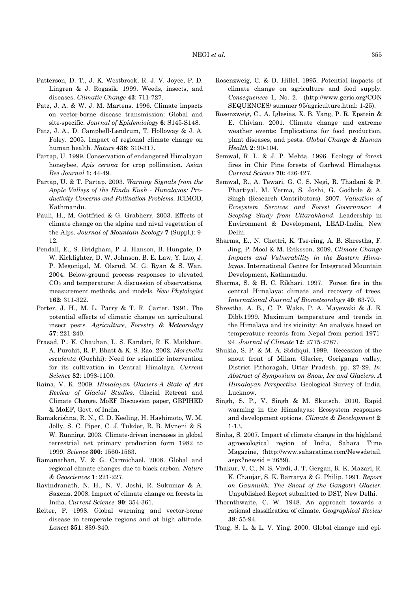- Patterson, D. T., J. K. Westbrook, R. J. V. Joyce, P. D. Lingren & J. Rogasik. 1999. Weeds, insects, and diseases. *Climatic Change* **43**: 711-727.
- Patz, J. A. & W. J. M. Martens. 1996. Climate impacts on vector-borne disease transmission: Global and site-specific. *Journal of Epidemiology* **6**: S145-S148.
- Patz, J. A., D. Campbell-Lendrum, T. Holloway & J. A. Foley. 2005. Impact of regional climate change on human health*. Nature* **438**: 310-317.
- Partap, U. 1999. Conservation of endangered Himalayan honeybee, *Apis cerana* for crop pollination. *Asian Bee Journal* **1:** 44-49.
- Partap, U. & T. Partap. 2003. *Warning Signals from the Apple Valleys of the Hindu Kush - Himalayas: Productivity Concerns and Pollination Problems*. ICIMOD, Kathmandu.
- Pauli, H., M. Gottfried & G. Grabherr. 2003. Effects of climate change on the alpine and nival vegetation of the Alps. *Journal of Mountain Ecology* **7** (Suppl.): 9- 12.
- Pendall, E., S. Bridgham, P. J. Hanson, B. Hungate, D. W. Kicklighter, D. W. Johnson, B. E. Law, Y. Luo, J. P. Megonigal, M. Olsrud, M. G. Ryan & S. Wan. 2004. Below-ground process responses to elevated CO2 and temperature: A discussion of observations, measurement methods, and models. *New Phytologist*  **162**: 311-322.
- Porter, J. H., M. L. Parry & T. R. Carter. 1991. The potential effects of climatic change on agricultural insect pests*. Agriculture, Forestry & Meteorology*  **57**: 221-240.
- Prasad, P., K. Chauhan, L. S. Kandari, R. K. Maikhuri, A. Purohit, R. P. Bhatt & K. S. Rao. 2002. *Morchella esculenta* (Guchhi): Need for scientific intervention for its cultivation in Central Himalaya. *Current Science* **82**: 1098-1100.
- Raina, V. K. 2009. *Himalayan Glaciers-A State of Art Review of Glacial Studies.* Glacial Retreat and Climate Change. MoEF Discussion paper, GBPIHED & MoEF, Govt. of India.
- Ramakrishna, R. N., C. D. Keeling, H. Hashimoto, W. M. Jolly, S. C. Piper, C. J. Tukder, R. B. Myneni & S. W. Running. 2003. Climate-driven increases in global terrestrial net primary production form 1982 to 1999. *Science* **300**: 1560-1563.
- Ramanathan, V. & G. Carmichael. 2008. Global and regional climate changes due to black carbon. *Nature & Geosciences* **1**: 221-227.
- Ravindranath, N. H., N. V. Joshi, R. Sukumar & A. Saxena. 2008. Impact of climate change on forests in India. *Current Science* **90**: 354-361.
- Reiter, P. 1998. Global warming and vector-borne disease in temperate regions and at high altitude. *Lancet* **351**: 839-840.
- Rosenzweig, C. & D. Hillel. 1995. Potential impacts of climate change on agriculture and food supply. *Consequences* 1, No. 2. (http://www.gerio.org/CON SEQUENCES/ summer 95/agriculture.html: 1-25).
- Rosenzweig, C., A. Iglesias, X. B. Yang, P. R. Epstein & E. Chivian. 2001. Climate change and extreme weather events: Implications for food production, plant diseases, and pests. *Global Change & Human Health* **2**: 90-104.
- Semwal, R. L. & J. P. Mehta. 1996. Ecology of forest fires in Chir Pine forests of Garhwal Himalayas. *Current Science* **70:** 426-427.
- Semwal, R., A. Tewari, G. C. S. Negi, R. Thadani & P. Phartiyal, M. Verma, S. Joshi, G. Godbole & A. Singh (Research Contributors). 2007. *Valuation of Ecosystem Services and Forest Governance: A Scoping Study from Uttarakhand.* Leadership in Environment & Development, LEAD-India, New Delhi.
- Sharma, E., N. Chettri, K. Tse-ring, A. B. Shrestha, F. Jing, P. Mool & M. Eriksson. 2009. *Climate Change Impacts and Vulnerability in the Eastern Himalayas*. International Centre for Integrated Mountain Development, Kathmandu.
- Sharma, S. & H. C. Rikhari. 1997. Forest fire in the central Himalaya: climate and recovery of trees. *International Journal of Biometeorology* **40**: 63-70.
- Shrestha, A. B., C. P. Wake, P. A. Mayewski & J. E. Dibb.1999. Maximum temperature and trends in the Himalaya and its vicinity: An analysis based on temperature records from Nepal from period 1971- 94. *Journal of Climate* **12**: 2775-2787.
- Shukla, S. P. & M. A. Siddiqui. 1999. Recession of the snout front of Milam Glacier, Goriganga valley, District Pithoragah, Uttar Pradesh. pp. 27-29. *In*: *Abstract of Symposium on Snow, Ice and Glaciers*. *A Himalayan Perspective*. Geological Survey of India, Lucknow.
- Singh, S. P., V. Singh & M. Skutsch. 2010. Rapid warming in the Himalayas: Ecosystem responses and development options. *Climate & Development* **2**: 1-13.
- Sinha, S. 2007. Impact of climate change in the highland agroecological region of India, Sahara Time Magazine, (http://www.saharatime.com/Newsdetail.  $aspx?newsid = 2659.$
- Thakur, V. C., N. S. Virdi, J. T. Gergan, R. K. Mazari, R. K. Chaujar, S. K. Bartarya & G. Philip. 1991. *Report on Gaumukh: The Snout of the Gangotri Glacier.* Unpublished Report submitted to DST, New Delhi.
- Thornthwaite, C. W. 1948. An approach towards a rational classification of climate. *Geographical Review* **38**: 55-94.
- Tong, S. L. & L. V. Ying. 2000. Global change and epi-